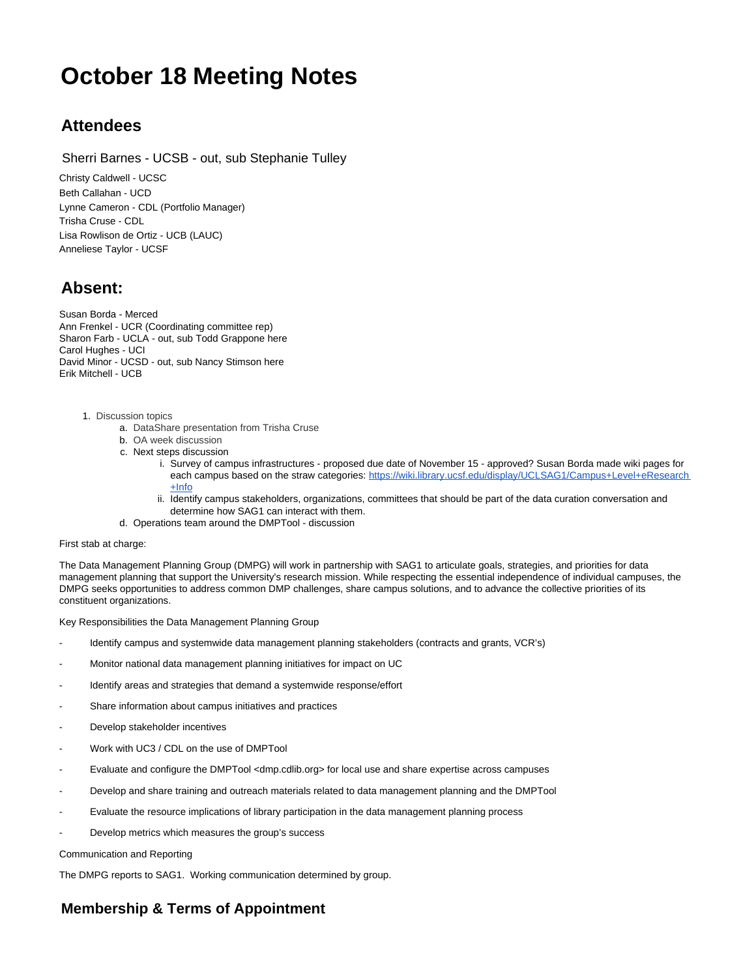## **October 18 Meeting Notes**

## **Attendees**

Sherri Barnes - UCSB - out, sub Stephanie Tulley

Christy Caldwell - UCSC Beth Callahan - UCD Lynne Cameron - CDL (Portfolio Manager) Trisha Cruse - CDL Lisa Rowlison de Ortiz - UCB (LAUC) Anneliese Taylor - UCSF

## **Absent:**

Susan Borda - Merced Ann Frenkel - UCR (Coordinating committee rep) Sharon Farb - UCLA - out, sub Todd Grappone here Carol Hughes - UCI David Minor - UCSD - out, sub Nancy Stimson here Erik Mitchell - UCB

1. Discussion topics

- a. DataShare presentation from Trisha Cruse
- b. OA week discussion
- c. Next steps discussion
	- i. Survey of campus infrastructures proposed due date of November 15 approved? Susan Borda made wiki pages for each campus based on the straw categories: [https://wiki.library.ucsf.edu/display/UCLSAG1/Campus+Level+eResearch](https://wiki.library.ucsf.edu/display/UCLSAG1/Campus+Level+eResearch+Info) [+Info](https://wiki.library.ucsf.edu/display/UCLSAG1/Campus+Level+eResearch+Info)
	- ii. Identify campus stakeholders, organizations, committees that should be part of the data curation conversation and determine how SAG1 can interact with them.
- d. Operations team around the DMPTool discussion

First stab at charge:

The Data Management Planning Group (DMPG) will work in partnership with SAG1 to articulate goals, strategies, and priorities for data management planning that support the University's research mission. While respecting the essential independence of individual campuses, the DMPG seeks opportunities to address common DMP challenges, share campus solutions, and to advance the collective priorities of its constituent organizations.

Key Responsibilities the Data Management Planning Group

- Identify campus and systemwide data management planning stakeholders (contracts and grants, VCR's)
- Monitor national data management planning initiatives for impact on UC
- Identify areas and strategies that demand a systemwide response/effort
- Share information about campus initiatives and practices
- Develop stakeholder incentives
- Work with UC3 / CDL on the use of DMPTool
- Evaluate and configure the DMPTool <dmp.cdlib.org> for local use and share expertise across campuses
- Develop and share training and outreach materials related to data management planning and the DMPTool
- Evaluate the resource implications of library participation in the data management planning process
- Develop metrics which measures the group's success

Communication and Reporting

The DMPG reports to SAG1. Working communication determined by group.

## **Membership & Terms of Appointment**